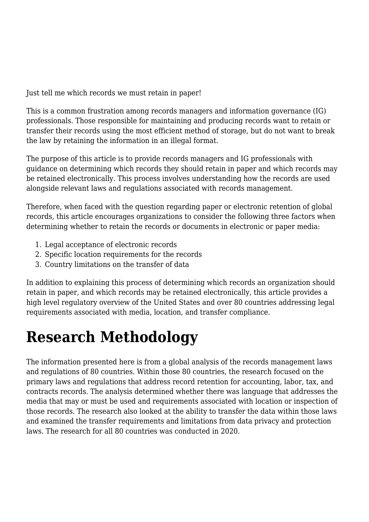Just tell me which records we must retain in paper!

This is a common frustration among records managers and information governance (IG) professionals. Those responsible for maintaining and producing records want to retain or transfer their records using the most efficient method of storage, but do not want to break the law by retaining the information in an illegal format.

The purpose of this article is to provide records managers and IG professionals with guidance on determining which records they should retain in paper and which records may be retained electronically. This process involves understanding how the records are used alongside relevant laws and regulations associated with records management.

Therefore, when faced with the question regarding paper or electronic retention of global records, this article encourages organizations to consider the following three factors when determining whether to retain the records or documents in electronic or paper media:

- 1. Legal acceptance of electronic records
- 2. Specific location requirements for the records
- 3. Country limitations on the transfer of data

In addition to explaining this process of determining which records an organization should retain in paper, and which records may be retained electronically, this article provides a high level regulatory overview of the United States and over 80 countries addressing legal requirements associated with media, location, and transfer compliance.

# **Research Methodology**

The information presented here is from a global analysis of the records management laws and regulations of 80 countries. Within those 80 countries, the research focused on the primary laws and regulations that address record retention for accounting, labor, tax, and contracts records. The analysis determined whether there was language that addresses the media that may or must be used and requirements associated with location or inspection of those records. The research also looked at the ability to transfer the data within those laws and examined the transfer requirements and limitations from data privacy and protection laws. The research for all 80 countries was conducted in 2020.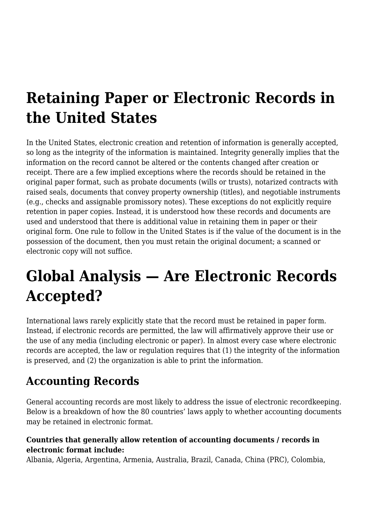# **Retaining Paper or Electronic Records in the United States**

In the United States, electronic creation and retention of information is generally accepted, so long as the integrity of the information is maintained. Integrity generally implies that the information on the record cannot be altered or the contents changed after creation or receipt. There are a few implied exceptions where the records should be retained in the original paper format, such as probate documents (wills or trusts), notarized contracts with raised seals, documents that convey property ownership (titles), and negotiable instruments (e.g., checks and assignable promissory notes). These exceptions do not explicitly require retention in paper copies. Instead, it is understood how these records and documents are used and understood that there is additional value in retaining them in paper or their original form. One rule to follow in the United States is if the value of the document is in the possession of the document, then you must retain the original document; a scanned or electronic copy will not suffice.

# **Global Analysis — Are Electronic Records Accepted?**

International laws rarely explicitly state that the record must be retained in paper form. Instead, if electronic records are permitted, the law will affirmatively approve their use or the use of any media (including electronic or paper). In almost every case where electronic records are accepted, the law or regulation requires that (1) the integrity of the information is preserved, and (2) the organization is able to print the information.

## **Accounting Records**

General accounting records are most likely to address the issue of electronic recordkeeping. Below is a breakdown of how the 80 countries' laws apply to whether accounting documents may be retained in electronic format.

#### **Countries that generally allow retention of accounting documents / records in electronic format include:**

Albania, Algeria, Argentina, Armenia, Australia, Brazil, Canada, China (PRC), Colombia,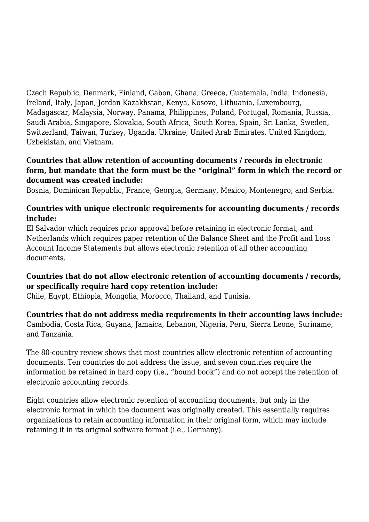Czech Republic, Denmark, Finland, Gabon, Ghana, Greece, Guatemala, India, Indonesia, Ireland, Italy, Japan, Jordan Kazakhstan, Kenya, Kosovo, Lithuania, Luxembourg, Madagascar, Malaysia, Norway, Panama, Philippines, Poland, Portugal, Romania, Russia, Saudi Arabia, Singapore, Slovakia, South Africa, South Korea, Spain, Sri Lanka, Sweden, Switzerland, Taiwan, Turkey, Uganda, Ukraine, United Arab Emirates, United Kingdom, Uzbekistan, and Vietnam.

#### **Countries that allow retention of accounting documents / records in electronic form, but mandate that the form must be the "original" form in which the record or document was created include:**

Bosnia, Dominican Republic, France, Georgia, Germany, Mexico, Montenegro, and Serbia.

#### **Countries with unique electronic requirements for accounting documents / records include:**

El Salvador which requires prior approval before retaining in electronic format; and Netherlands which requires paper retention of the Balance Sheet and the Profit and Loss Account Income Statements but allows electronic retention of all other accounting documents.

#### **Countries that do not allow electronic retention of accounting documents / records, or specifically require hard copy retention include:**

Chile, Egypt, Ethiopia, Mongolia, Morocco, Thailand, and Tunisia.

**Countries that do not address media requirements in their accounting laws include:** Cambodia, Costa Rica, Guyana, Jamaica, Lebanon, Nigeria, Peru, Sierra Leone, Suriname, and Tanzania.

The 80-country review shows that most countries allow electronic retention of accounting documents. Ten countries do not address the issue, and seven countries require the information be retained in hard copy (i.e., "bound book") and do not accept the retention of electronic accounting records.

Eight countries allow electronic retention of accounting documents, but only in the electronic format in which the document was originally created. This essentially requires organizations to retain accounting information in their original form, which may include retaining it in its original software format (i.e., Germany).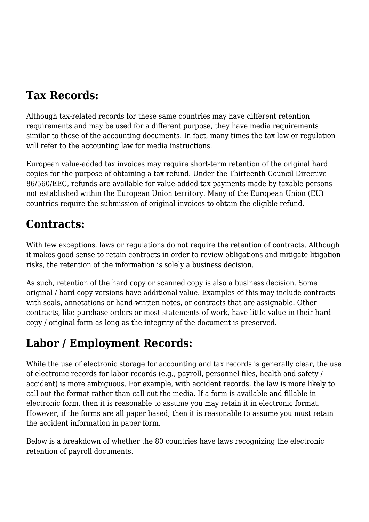## **Tax Records:**

Although tax-related records for these same countries may have different retention requirements and may be used for a different purpose, they have media requirements similar to those of the accounting documents. In fact, many times the tax law or regulation will refer to the accounting law for media instructions.

European value-added tax invoices may require short-term retention of the original hard copies for the purpose of obtaining a tax refund. Under the Thirteenth Council Directive 86/560/EEC, refunds are available for value-added tax payments made by taxable persons not established within the European Union territory. Many of the European Union (EU) countries require the submission of original invoices to obtain the eligible refund.

### **Contracts:**

With few exceptions, laws or regulations do not require the retention of contracts. Although it makes good sense to retain contracts in order to review obligations and mitigate litigation risks, the retention of the information is solely a business decision.

As such, retention of the hard copy or scanned copy is also a business decision. Some original / hard copy versions have additional value. Examples of this may include contracts with seals, annotations or hand-written notes, or contracts that are assignable. Other contracts, like purchase orders or most statements of work, have little value in their hard copy / original form as long as the integrity of the document is preserved.

### **Labor / Employment Records:**

While the use of electronic storage for accounting and tax records is generally clear, the use of electronic records for labor records (e.g., payroll, personnel files, health and safety / accident) is more ambiguous. For example, with accident records, the law is more likely to call out the format rather than call out the media. If a form is available and fillable in electronic form, then it is reasonable to assume you may retain it in electronic format. However, if the forms are all paper based, then it is reasonable to assume you must retain the accident information in paper form.

Below is a breakdown of whether the 80 countries have laws recognizing the electronic retention of payroll documents.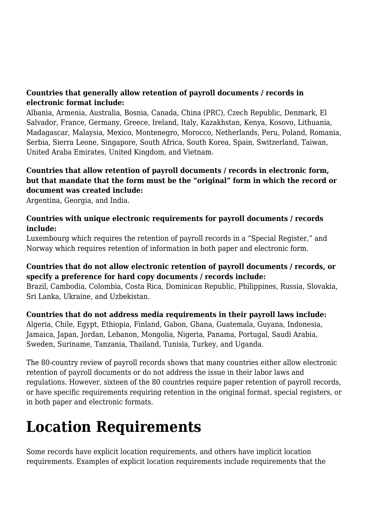#### **Countries that generally allow retention of payroll documents / records in electronic format include:**

Albania, Armenia, Australia, Bosnia, Canada, China (PRC), Czech Republic, Denmark, El Salvador, France, Germany, Greece, Ireland, Italy, Kazakhstan, Kenya, Kosovo, Lithuania, Madagascar, Malaysia, Mexico, Montenegro, Morocco, Netherlands, Peru, Poland, Romania, Serbia, Sierra Leone, Singapore, South Africa, South Korea, Spain, Switzerland, Taiwan, United Araba Emirates, United Kingdom, and Vietnam.

#### **Countries that allow retention of payroll documents / records in electronic form, but that mandate that the form must be the "original" form in which the record or document was created include:**

Argentina, Georgia, and India.

#### **Countries with unique electronic requirements for payroll documents / records include:**

Luxembourg which requires the retention of payroll records in a "Special Register," and Norway which requires retention of information in both paper and electronic form.

#### **Countries that do not allow electronic retention of payroll documents / records, or specify a preference for hard copy documents / records include:**

Brazil, Cambodia, Colombia, Costa Rica, Dominican Republic, Philippines, Russia, Slovakia, Sri Lanka, Ukraine, and Uzbekistan.

**Countries that do not address media requirements in their payroll laws include:** Algeria, Chile, Egypt, Ethiopia, Finland, Gabon, Ghana, Guatemala, Guyana, Indonesia, Jamaica, Japan, Jordan, Lebanon, Mongolia, Nigeria, Panama, Portugal, Saudi Arabia, Sweden, Suriname, Tanzania, Thailand, Tunisia, Turkey, and Uganda.

The 80-country review of payroll records shows that many countries either allow electronic retention of payroll documents or do not address the issue in their labor laws and regulations. However, sixteen of the 80 countries require paper retention of payroll records, or have specific requirements requiring retention in the original format, special registers, or in both paper and electronic formats.

# **Location Requirements**

Some records have explicit location requirements, and others have implicit location requirements. Examples of explicit location requirements include requirements that the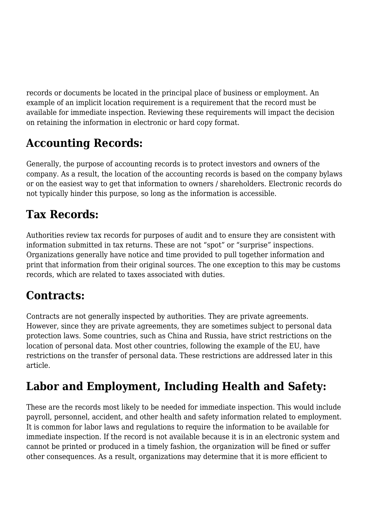records or documents be located in the principal place of business or employment. An example of an implicit location requirement is a requirement that the record must be available for immediate inspection. Reviewing these requirements will impact the decision on retaining the information in electronic or hard copy format.

## **Accounting Records:**

Generally, the purpose of accounting records is to protect investors and owners of the company. As a result, the location of the accounting records is based on the company bylaws or on the easiest way to get that information to owners / shareholders. Electronic records do not typically hinder this purpose, so long as the information is accessible.

## **Tax Records:**

Authorities review tax records for purposes of audit and to ensure they are consistent with information submitted in tax returns. These are not "spot" or "surprise" inspections. Organizations generally have notice and time provided to pull together information and print that information from their original sources. The one exception to this may be customs records, which are related to taxes associated with duties.

## **Contracts:**

Contracts are not generally inspected by authorities. They are private agreements. However, since they are private agreements, they are sometimes subject to personal data protection laws. Some countries, such as China and Russia, have strict restrictions on the location of personal data. Most other countries, following the example of the EU, have restrictions on the transfer of personal data. These restrictions are addressed later in this article.

## **Labor and Employment, Including Health and Safety:**

These are the records most likely to be needed for immediate inspection. This would include payroll, personnel, accident, and other health and safety information related to employment. It is common for labor laws and regulations to require the information to be available for immediate inspection. If the record is not available because it is in an electronic system and cannot be printed or produced in a timely fashion, the organization will be fined or suffer other consequences. As a result, organizations may determine that it is more efficient to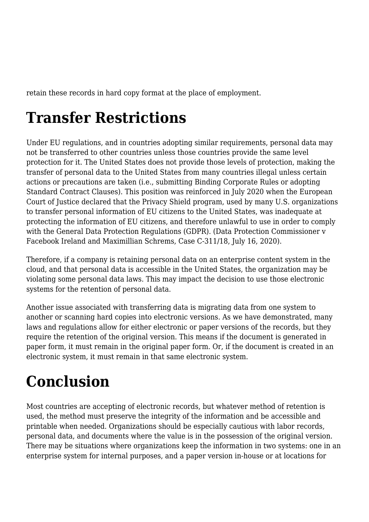retain these records in hard copy format at the place of employment.

# **Transfer Restrictions**

Under EU regulations, and in countries adopting similar requirements, personal data may not be transferred to other countries unless those countries provide the same level protection for it. The United States does not provide those levels of protection, making the transfer of personal data to the United States from many countries illegal unless certain actions or precautions are taken (i.e., submitting Binding Corporate Rules or adopting Standard Contract Clauses). This position was reinforced in July 2020 when the European Court of Justice declared that the Privacy Shield program, used by many U.S. organizations to transfer personal information of EU citizens to the United States, was inadequate at protecting the information of EU citizens, and therefore unlawful to use in order to comply with the General Data Protection Regulations (GDPR). (Data Protection Commissioner v Facebook Ireland and Maximillian Schrems, Case C-311/18, July 16, 2020).

Therefore, if a company is retaining personal data on an enterprise content system in the cloud, and that personal data is accessible in the United States, the organization may be violating some personal data laws. This may impact the decision to use those electronic systems for the retention of personal data.

Another issue associated with transferring data is migrating data from one system to another or scanning hard copies into electronic versions. As we have demonstrated, many laws and regulations allow for either electronic or paper versions of the records, but they require the retention of the original version. This means if the document is generated in paper form, it must remain in the original paper form. Or, if the document is created in an electronic system, it must remain in that same electronic system.

# **Conclusion**

Most countries are accepting of electronic records, but whatever method of retention is used, the method must preserve the integrity of the information and be accessible and printable when needed. Organizations should be especially cautious with labor records, personal data, and documents where the value is in the possession of the original version. There may be situations where organizations keep the information in two systems: one in an enterprise system for internal purposes, and a paper version in-house or at locations for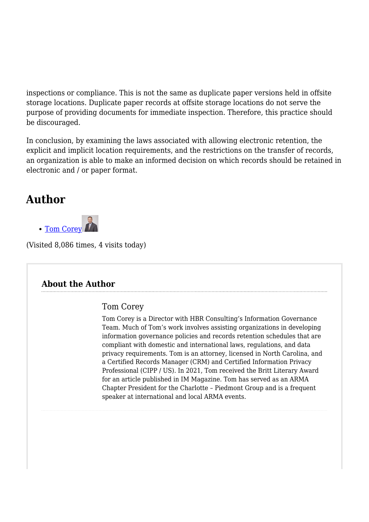inspections or compliance. This is not the same as duplicate paper versions held in offsite storage locations. Duplicate paper records at offsite storage locations do not serve the purpose of providing documents for immediate inspection. Therefore, this practice should be discouraged.

In conclusion, by examining the laws associated with allowing electronic retention, the explicit and implicit location requirements, and the restrictions on the transfer of records, an organization is able to make an informed decision on which records should be retained in electronic and / or paper format.

### **Author**



(Visited 8,086 times, 4 visits today)

#### **About the Author**

#### Tom Corey

Tom Corey is a Director with HBR Consulting's Information Governance Team. Much of Tom's work involves assisting organizations in developing information governance policies and records retention schedules that are compliant with domestic and international laws, regulations, and data privacy requirements. Tom is an attorney, licensed in North Carolina, and a Certified Records Manager (CRM) and Certified Information Privacy Professional (CIPP / US). In 2021, Tom received the Britt Literary Award for an article published in IM Magazine. Tom has served as an ARMA Chapter President for the Charlotte – Piedmont Group and is a frequent speaker at international and local ARMA events.